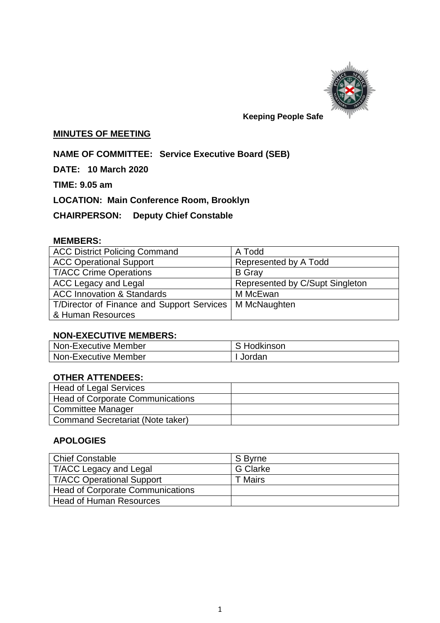

# **Keeping People Safe**

### **MINUTES OF MEETING**

**NAME OF COMMITTEE: Service Executive Board (SEB)**

**DATE: 10 March 2020**

**TIME: 9.05 am**

**LOCATION: Main Conference Room, Brooklyn**

**CHAIRPERSON: Deputy Chief Constable** 

## **MEMBERS:**

| <b>ACC District Policing Command</b>                      | A Todd                          |  |
|-----------------------------------------------------------|---------------------------------|--|
| <b>ACC Operational Support</b>                            | Represented by A Todd           |  |
| <b>T/ACC Crime Operations</b>                             | <b>B</b> Gray                   |  |
| ACC Legacy and Legal                                      | Represented by C/Supt Singleton |  |
| <b>ACC Innovation &amp; Standards</b>                     | M McEwan                        |  |
| T/Director of Finance and Support Services   M McNaughten |                                 |  |
| & Human Resources                                         |                                 |  |

# **NON-EXECUTIVE MEMBERS:**

| Non-Executive Member | S Hodkinson |
|----------------------|-------------|
| Non-Executive Member | . Jordan    |

## **OTHER ATTENDEES:**

| <b>Head of Legal Services</b>           |  |
|-----------------------------------------|--|
| <b>Head of Corporate Communications</b> |  |
| <b>Committee Manager</b>                |  |
| <b>Command Secretariat (Note taker)</b> |  |

## **APOLOGIES**

| Chief Constable                  | S Byrne         |
|----------------------------------|-----------------|
| T/ACC Legacy and Legal           | <b>G</b> Clarke |
| T/ACC Operational Support        | T Mairs         |
| Head of Corporate Communications |                 |
| Head of Human Resources          |                 |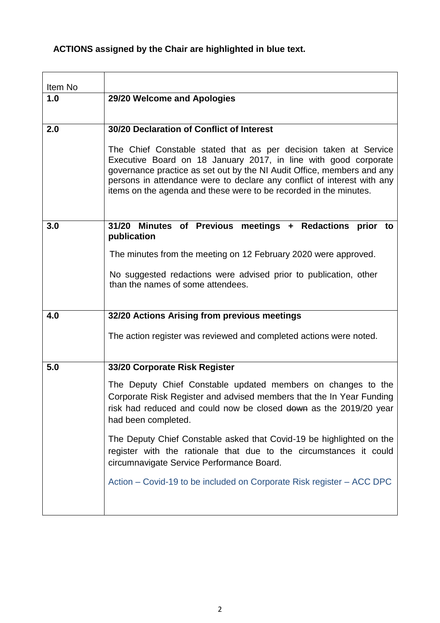# **ACTIONS assigned by the Chair are highlighted in blue text.**

| Item No |                                                                                                                                                                                                                                                                                                                                                               |
|---------|---------------------------------------------------------------------------------------------------------------------------------------------------------------------------------------------------------------------------------------------------------------------------------------------------------------------------------------------------------------|
| 1.0     | 29/20 Welcome and Apologies                                                                                                                                                                                                                                                                                                                                   |
| 2.0     | 30/20 Declaration of Conflict of Interest                                                                                                                                                                                                                                                                                                                     |
|         | The Chief Constable stated that as per decision taken at Service<br>Executive Board on 18 January 2017, in line with good corporate<br>governance practice as set out by the NI Audit Office, members and any<br>persons in attendance were to declare any conflict of interest with any<br>items on the agenda and these were to be recorded in the minutes. |
| 3.0     | 31/20 Minutes of Previous meetings + Redactions prior to<br>publication                                                                                                                                                                                                                                                                                       |
|         | The minutes from the meeting on 12 February 2020 were approved.                                                                                                                                                                                                                                                                                               |
|         | No suggested redactions were advised prior to publication, other<br>than the names of some attendees.                                                                                                                                                                                                                                                         |
| 4.0     | 32/20 Actions Arising from previous meetings                                                                                                                                                                                                                                                                                                                  |
|         | The action register was reviewed and completed actions were noted.                                                                                                                                                                                                                                                                                            |
| 5.0     | 33/20 Corporate Risk Register                                                                                                                                                                                                                                                                                                                                 |
|         | The Deputy Chief Constable updated members on changes to the<br>Corporate Risk Register and advised members that the In Year Funding<br>risk had reduced and could now be closed down as the 2019/20 year<br>had been completed.                                                                                                                              |
|         | The Deputy Chief Constable asked that Covid-19 be highlighted on the<br>register with the rationale that due to the circumstances it could<br>circumnavigate Service Performance Board.                                                                                                                                                                       |
|         | Action - Covid-19 to be included on Corporate Risk register - ACC DPC                                                                                                                                                                                                                                                                                         |
|         |                                                                                                                                                                                                                                                                                                                                                               |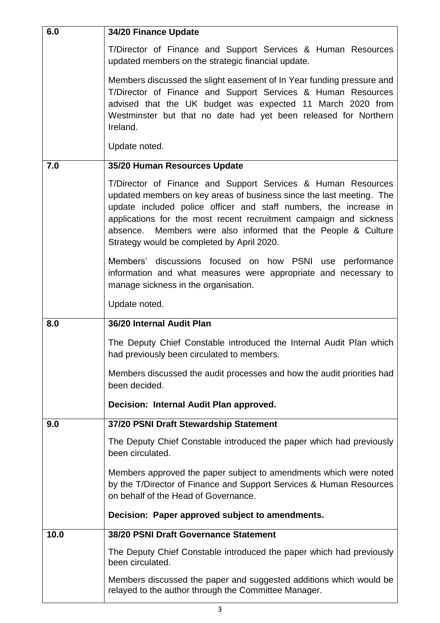| 6.0  | 34/20 Finance Update                                                                                                                                                                                                                                                                                                                                                                              |
|------|---------------------------------------------------------------------------------------------------------------------------------------------------------------------------------------------------------------------------------------------------------------------------------------------------------------------------------------------------------------------------------------------------|
|      | T/Director of Finance and Support Services & Human Resources<br>updated members on the strategic financial update.                                                                                                                                                                                                                                                                                |
|      | Members discussed the slight easement of In Year funding pressure and<br>T/Director of Finance and Support Services & Human Resources<br>advised that the UK budget was expected 11 March 2020 from<br>Westminster but that no date had yet been released for Northern<br>Ireland.                                                                                                                |
|      | Update noted.                                                                                                                                                                                                                                                                                                                                                                                     |
| 7.0  | 35/20 Human Resources Update                                                                                                                                                                                                                                                                                                                                                                      |
|      | T/Director of Finance and Support Services & Human Resources<br>updated members on key areas of business since the last meeting. The<br>update included police officer and staff numbers, the increase in<br>applications for the most recent recruitment campaign and sickness<br>Members were also informed that the People & Culture<br>absence.<br>Strategy would be completed by April 2020. |
|      | Members' discussions focused on how PSNI use performance<br>information and what measures were appropriate and necessary to<br>manage sickness in the organisation.                                                                                                                                                                                                                               |
|      | Update noted.                                                                                                                                                                                                                                                                                                                                                                                     |
| 8.0  | 36/20 Internal Audit Plan                                                                                                                                                                                                                                                                                                                                                                         |
|      | The Deputy Chief Constable introduced the Internal Audit Plan which<br>had previously been circulated to members.                                                                                                                                                                                                                                                                                 |
|      | Members discussed the audit processes and how the audit priorities had<br>been decided.                                                                                                                                                                                                                                                                                                           |
|      | Decision: Internal Audit Plan approved.                                                                                                                                                                                                                                                                                                                                                           |
| 9.0  | 37/20 PSNI Draft Stewardship Statement                                                                                                                                                                                                                                                                                                                                                            |
|      | The Deputy Chief Constable introduced the paper which had previously<br>been circulated.                                                                                                                                                                                                                                                                                                          |
|      | Members approved the paper subject to amendments which were noted<br>by the T/Director of Finance and Support Services & Human Resources<br>on behalf of the Head of Governance.                                                                                                                                                                                                                  |
|      | Decision: Paper approved subject to amendments.                                                                                                                                                                                                                                                                                                                                                   |
| 10.0 | 38/20 PSNI Draft Governance Statement                                                                                                                                                                                                                                                                                                                                                             |
|      | The Deputy Chief Constable introduced the paper which had previously<br>been circulated.                                                                                                                                                                                                                                                                                                          |
|      | Members discussed the paper and suggested additions which would be<br>relayed to the author through the Committee Manager.                                                                                                                                                                                                                                                                        |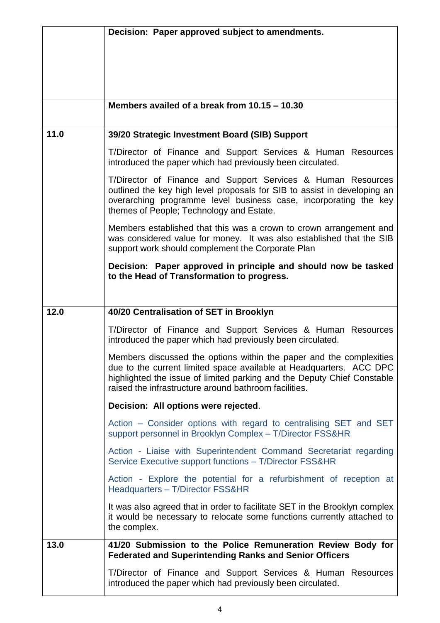|      | Decision: Paper approved subject to amendments.                                                                                                                                                                                                                                |
|------|--------------------------------------------------------------------------------------------------------------------------------------------------------------------------------------------------------------------------------------------------------------------------------|
|      |                                                                                                                                                                                                                                                                                |
|      |                                                                                                                                                                                                                                                                                |
|      |                                                                                                                                                                                                                                                                                |
|      |                                                                                                                                                                                                                                                                                |
|      | Members availed of a break from 10.15 - 10.30                                                                                                                                                                                                                                  |
| 11.0 | 39/20 Strategic Investment Board (SIB) Support                                                                                                                                                                                                                                 |
|      | T/Director of Finance and Support Services & Human Resources<br>introduced the paper which had previously been circulated.                                                                                                                                                     |
|      | T/Director of Finance and Support Services & Human Resources<br>outlined the key high level proposals for SIB to assist in developing an<br>overarching programme level business case, incorporating the key<br>themes of People; Technology and Estate.                       |
|      | Members established that this was a crown to crown arrangement and<br>was considered value for money. It was also established that the SIB<br>support work should complement the Corporate Plan                                                                                |
|      | Decision: Paper approved in principle and should now be tasked<br>to the Head of Transformation to progress.                                                                                                                                                                   |
|      |                                                                                                                                                                                                                                                                                |
| 12.0 | 40/20 Centralisation of SET in Brooklyn                                                                                                                                                                                                                                        |
|      | T/Director of Finance and Support Services & Human Resources<br>introduced the paper which had previously been circulated.                                                                                                                                                     |
|      | Members discussed the options within the paper and the complexities<br>due to the current limited space available at Headquarters. ACC DPC<br>highlighted the issue of limited parking and the Deputy Chief Constable<br>raised the infrastructure around bathroom facilities. |
|      | Decision: All options were rejected.                                                                                                                                                                                                                                           |
|      | Action – Consider options with regard to centralising SET and SET<br>support personnel in Brooklyn Complex - T/Director FSS&HR                                                                                                                                                 |
|      | Action - Liaise with Superintendent Command Secretariat regarding<br>Service Executive support functions - T/Director FSS&HR                                                                                                                                                   |
|      | Action - Explore the potential for a refurbishment of reception at<br>Headquarters - T/Director FSS&HR                                                                                                                                                                         |
|      | It was also agreed that in order to facilitate SET in the Brooklyn complex<br>it would be necessary to relocate some functions currently attached to<br>the complex.                                                                                                           |
| 13.0 | 41/20 Submission to the Police Remuneration Review Body for<br><b>Federated and Superintending Ranks and Senior Officers</b>                                                                                                                                                   |
|      | T/Director of Finance and Support Services & Human Resources<br>introduced the paper which had previously been circulated.                                                                                                                                                     |